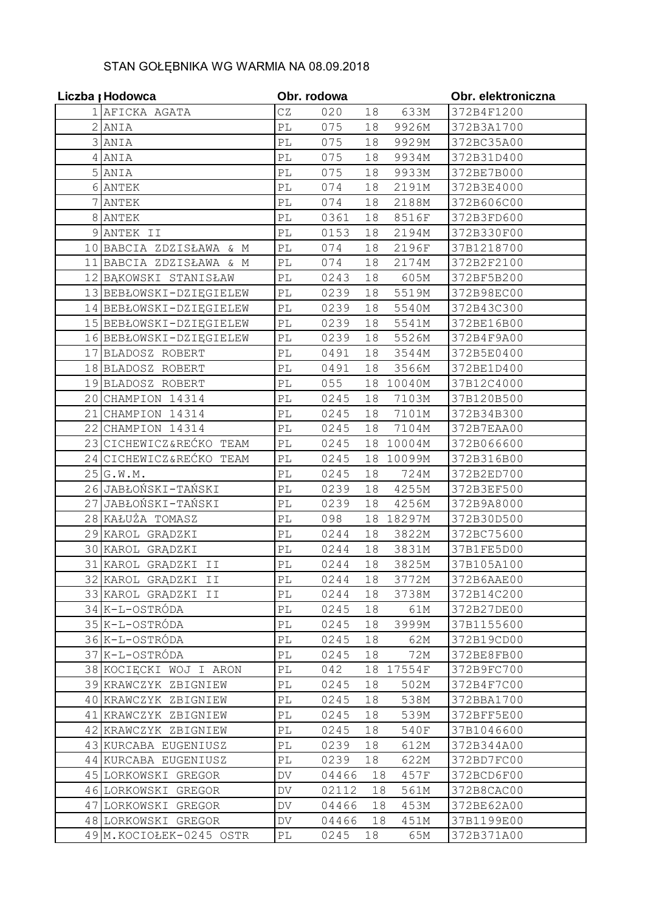## STAN GOŁĘBNIKA WG WARMIA NA 08.09.2018

|                | Liczba <sub>I</sub> Hodowca | Obr. rodowa                |       |        |        | Obr. elektroniczna |
|----------------|-----------------------------|----------------------------|-------|--------|--------|--------------------|
|                | 1 AFICKA AGATA              | CZ                         | 020   | 18     | 633M   | 372B4F1200         |
|                | 2 ANIA                      | $\mathbb{P}\mathbb{L}$     | 075   | 18     | 9926M  | 372B3A1700         |
|                | 3 ANIA                      | PL                         | 075   | 18     | 9929M  | 372BC35A00         |
| 4              | ANIA                        | $\mathbb{P}\mathbb{L}$     | 075   | 18     | 9934M  | 372B31D400         |
| 5 <sub>l</sub> | ANIA                        | $\mathbb{P}\mathbb{L}$     | 075   | 18     | 9933M  | 372BE7B000         |
|                | 6 ANTEK                     | $\mathbb{P}\mathbb{L}$     | 074   | 18     | 2191M  | 372B3E4000         |
|                | ANTEK                       | PL                         | 074   | 18     | 2188M  | 372B606C00         |
|                | 8 ANTEK                     | $\mathbb{P}\mathbb{L}$     | 0361  | 18     | 8516F  | 372B3FD600         |
|                | 9 ANTEK II                  | $\mathbb{P}\mathbb{L}$     | 0153  | 18     | 2194M  | 372B330F00         |
|                | 10 BABCIA ZDZISŁAWA<br>& M  | PL                         | 074   | 18     | 2196F  | 37B1218700         |
| 11             | BABCIA ZDZISŁAWA & M        | $\mathbb{P}\mathbb{L}$     | 074   | 18     | 2174M  | 372B2F2100         |
|                | 12 BAKOWSKI STANISŁAW       | $\mathbb{P}\mathbb{L}$     | 0243  | 18     | 605M   | 372BF5B200         |
|                | 13 BEBŁOWSKI-DZIĘGIELEW     | $\mathbb{P}\mathbb{L}$     | 0239  | 18     | 5519M  | 372B98EC00         |
|                | 14 BEBŁOWSKI-DZIĘGIELEW     | $\mathbb{P}\mathbb{L}$     | 0239  | 18     | 5540M  | 372B43C300         |
|                | 15 BEBŁOWSKI-DZIĘGIELEW     | $\mathbb{P}\mathbb{L}$     | 0239  | 18     | 5541M  | 372BE16B00         |
|                | 16 BEBŁOWSKI-DZIĘGIELEW     | PL                         | 0239  | 18     | 5526M  | 372B4F9A00         |
| 17             | BLADOSZ ROBERT              | $\mathbb{P}\mathbb{L}$     | 0491  | 18     | 3544M  | 372B5E0400         |
|                | 18 BLADOSZ ROBERT           | $\mathbb{P}\mathbb{L}$     | 0491  | 18     | 3566M  | 372BE1D400         |
|                | 19 BLADOSZ ROBERT           | $\mathbb{P}\mathbb{L}$     | 055   | 18     | 10040M | 37B12C4000         |
|                | 20 CHAMPION 14314           | $\mathbb{P}\mathbb{L}$     | 0245  | 18     | 7103M  | 37B120B500         |
| 21             | CHAMPION 14314              | $\mathbb{P}\mathbb{L}$     | 0245  | 18     | 7101M  | 372B34B300         |
| 22             | CHAMPION 14314              | $\mathbb{P}\mathbb{L}$     | 0245  | 18     | 7104M  | 372B7EAA00         |
| 23             | CICHEWICZ&REĆKO TEAM        | $\mathbb{P}\mathbb{L}$     | 0245  | 18     | 10004M | 372B066600         |
| 24             | CICHEWICZ&REĆKO TEAM        | PL                         | 0245  | 18     | 10099M | 372B316B00         |
| 25             | G.W.M.                      | $\mathbb{P}\mathbb{L}$     | 0245  | 18     | 724M   | 372B2ED700         |
|                | 26 JABŁOŃSKI-TAŃSKI         | $\mathbb{P}\mathbb{L}$     | 0239  | 18     | 4255M  | 372B3EF500         |
| 27             | JABŁOŃSKI-TAŃSKI            | $\mathbb{P}\mathbb{L}$     | 0239  | 18     | 4256M  | 372B9A8000         |
|                | 28 KAŁUŻA TOMASZ            | PL                         | 098   | 18     | 18297M | 372B30D500         |
| 29             | KAROL GRĄDZKI               | $\mathbb{P}\mathbb{L}$     | 0244  | 18     | 3822M  | 372BC75600         |
|                | 30 KAROL GRĄDZKI            | PL                         | 0244  | 18     | 3831M  | 37B1FE5D00         |
| 31             | KAROL GRĄDZKI II            | $\mathbb{P}\mathbb{L}$     | 0244  | 18     | 3825M  | 37B105A100         |
|                | 32 KAROL GRĄDZKI II         | PL                         | 0244  | 18     | 3772M  | 372B6AAE00         |
|                | 33 KAROL GRADZKI II         | $\mathbb{P}\mathbb{L}$     | 0244  | 18     | 3738M  | 372B14C200         |
|                | 34 K-L-OSTRÓDA              | $\mathop{\rm PL}\nolimits$ | 0245  | 18     | 61M    | 372B27DE00         |
|                | 35 K-L-OSTRÓDA              | РL                         | 0245  | 18     | 3999M  | 37B1155600         |
|                | 36 K-L-OSTRÓDA              | $\mathbb{P}\mathbb{L}$     | 0245  | 18     | 62M    | 372B19CD00         |
|                | 37 K-L-OSTRÓDA              | PL                         | 0245  | 18     | 72M    | 372BE8FB00         |
|                | 38 KOCIĘCKI WOJ I ARON      | $\mathbb{P}\mathbb{L}$     | 042   | 18     | 17554F | 372B9FC700         |
|                | 39 KRAWCZYK ZBIGNIEW        | $\mathbb{P}\mathbb{L}$     | 0245  | 18     | 502M   | 372B4F7C00         |
|                | 40 KRAWCZYK ZBIGNIEW        | $\mathop{\rm PL}\nolimits$ | 0245  | 18     | 538M   | 372BBA1700         |
|                | 41 KRAWCZYK ZBIGNIEW        | PL                         | 0245  | $18\,$ | 539M   | 372BFF5E00         |
|                | 42 KRAWCZYK ZBIGNIEW        | $\mathbb{P}\mathbb{L}$     | 0245  | 18     | 540F   | 37B1046600         |
|                | 43 KURCABA EUGENIUSZ        | $\mathbb{P}\mathbb{L}$     | 0239  | 18     | 612M   | 372B344A00         |
|                | 44 KURCABA EUGENIUSZ        | PL                         | 0239  | 18     | 622M   | 372BD7FC00         |
|                | 45 LORKOWSKI GREGOR         | DV                         | 04466 | 18     | 457F   | 372BCD6F00         |
|                | 46 LORKOWSKI GREGOR         | DV                         | 02112 | 18     | 561M   | 372B8CAC00         |
|                | 47 LORKOWSKI GREGOR         | DV                         | 04466 | 18     | 453M   | 372BE62A00         |
|                | 48 LORKOWSKI GREGOR         | DV                         | 04466 | 18     | 451M   | 37B1199E00         |
|                | 49 M. KOCIOŁEK-0245 OSTR    | PL                         | 0245  | 18     | 65M    | 372B371A00         |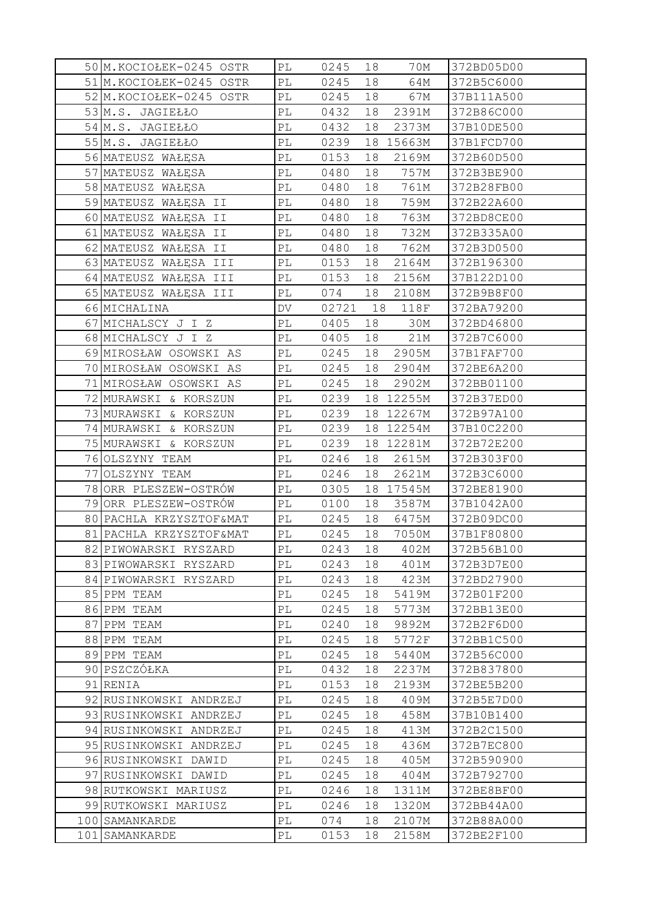|     | 50M.KOCIOŁEK-0245 OSTR   | PL                         | 0245  | 18 | 70M       | 372BD05D00 |
|-----|--------------------------|----------------------------|-------|----|-----------|------------|
|     | 51 M. KOCIOŁEK-0245 OSTR | $\mathbb{P}\mathbb{L}$     | 0245  | 18 | 64M       | 372B5C6000 |
|     | 52 M. KOCIOŁEK-0245 OSTR | $\mathbb{P}\mathbb{L}$     | 0245  | 18 | 67M       | 37B111A500 |
|     | 53 M.S. JAGIEŁŁO         | PL                         | 0432  | 18 | 2391M     | 372B86C000 |
|     | 54 M.S. JAGIEŁŁO         | $\mathbb{P}\mathbb{L}$     | 0432  | 18 | 2373M     | 37B10DE500 |
|     | 55 M.S. JAGIEŁŁO         | $\mathbb{P}\mathbb{L}$     | 0239  | 18 | 15663M    | 37B1FCD700 |
|     | 56 MATEUSZ WAŁĘSA        | PL                         | 0153  | 18 | 2169M     | 372B60D500 |
|     | 57 MATEUSZ WAŁĘSA        | PL                         | 0480  | 18 | 757M      | 372B3BE900 |
|     | 58 MATEUSZ WAŁĘSA        | PL                         | 0480  | 18 | 761M      | 372B28FB00 |
|     | 59 MATEUSZ WAŁĘSA II     | $\mathbb{P}\mathbb{L}$     | 0480  | 18 | 759M      | 372B22A600 |
|     | 60 MATEUSZ WAŁĘSA II     | РL                         | 0480  | 18 | 763M      | 372BD8CE00 |
|     | 61 MATEUSZ WAŁĘSA II     | PL                         | 0480  | 18 | 732M      | 372B335A00 |
|     | 62 MATEUSZ WAŁĘSA II     | $\mathbb{P}\mathbb{L}$     | 0480  | 18 | 762M      | 372B3D0500 |
|     | 63 MATEUSZ WAŁĘSA III    | PL                         | 0153  | 18 | 2164M     | 372B196300 |
|     | 64 MATEUSZ WAŁĘSA III    | PL                         | 0153  | 18 | 2156M     | 37B122D100 |
|     | 65 MATEUSZ WAŁĘSA III    | $\mathbb{P}\mathbb{L}$     | 074   | 18 | 2108M     | 372B9B8F00 |
|     | 66 MICHALINA             | DV                         | 02721 | 18 | 118F      | 372BA79200 |
| 67  | MICHALSCY J I Z          | PL                         | 0405  | 18 | 30M       | 372BD46800 |
|     | 68 MICHALSCY J I Z       | $\mathbb{P}\mathbb{L}$     | 0405  | 18 | 21M       | 372B7C6000 |
|     | 69 MIROSŁAW OSOWSKI AS   | PL                         | 0245  | 18 | 2905M     | 37B1FAF700 |
|     | 70 MIROSŁAW OSOWSKI AS   | PL                         | 0245  | 18 | 2904M     | 372BE6A200 |
|     | 71 MIROSŁAW OSOWSKI AS   | $\mathbb{P}\mathbb{L}$     | 0245  | 18 | 2902M     | 372BB01100 |
|     | 72 MURAWSKI<br>& KORSZUN | $\mathbb{P}\mathbb{L}$     | 0239  | 18 | 12255M    | 372B37ED00 |
|     | 73 MURAWSKI & KORSZUN    | $\mathbb{P}\mathbb{L}$     | 0239  |    | 18 12267M | 372B97A100 |
|     | 74 MURAWSKI & KORSZUN    | PL                         | 0239  | 18 | 12254M    | 37B10C2200 |
|     | 75 MURAWSKI & KORSZUN    | $\mathbb{P}\mathbb{L}$     | 0239  | 18 | 12281M    | 372B72E200 |
|     | 76 OLSZYNY TEAM          | $\mathbb{P}\mathbb{L}$     | 0246  | 18 | 2615M     | 372B303F00 |
| 77  | OLSZYNY TEAM             | PL                         | 0246  | 18 | 2621M     | 372B3C6000 |
| 78  | ORR PLESZEW-OSTRÓW       | РL                         | 0305  | 18 | 17545M    | 372BE81900 |
| 79  | ORR PLESZEW-OSTRÓW       | PL                         | 0100  | 18 | 3587M     | 37B1042A00 |
| 80  | PACHLA KRZYSZTOF&MAT     | $\mathbb{P}\mathbb{L}$     | 0245  | 18 | 6475M     | 372B09DC00 |
|     | 81 PACHLA KRZYSZTOF&MAT  | $\mathbb{P}\mathbb{L}$     | 0245  | 18 | 7050M     | 37B1F80800 |
|     | 82 PIWOWARSKI RYSZARD    | PL                         | 0243  | 18 | 402M      | 372B56B100 |
|     | 83 PIWOWARSKI RYSZARD    | $\mathbb{P}\mathbb{L}$     | 0243  | 18 | 401M      | 372B3D7E00 |
|     | 84 PIWOWARSKI RYSZARD    | PL                         | 0243  | 18 | 423M      | 372BD27900 |
|     | 85 PPM TEAM              | $\mathbb{P}\mathbb{L}$     | 0245  | 18 | 5419M     | 372B01F200 |
|     | 86 PPM TEAM              | $\mathop{\rm PL}\nolimits$ | 0245  | 18 | 5773M     | 372BB13E00 |
| 87  | PPM TEAM                 | $\mathbb{P}\mathbb{L}$     | 0240  | 18 | 9892M     | 372B2F6D00 |
|     | 88 PPM TEAM              | PL                         | 0245  | 18 | 5772F     | 372BB1C500 |
|     | 89 PPM TEAM              | PL                         | 0245  | 18 | 5440M     | 372B56C000 |
|     | 90 PSZCZÓŁKA             | $\mathbb{P}\mathbb{L}$     | 0432  | 18 | 2237M     | 372B837800 |
|     | 91 RENIA                 | PL                         | 0153  | 18 | 2193M     | 372BE5B200 |
|     | 92 RUSINKOWSKI ANDRZEJ   | $\mathbb{P}\mathbb{L}$     | 0245  | 18 | 409M      | 372B5E7D00 |
|     | 93 RUSINKOWSKI ANDRZEJ   | $\mathbb{P}\mathbb{L}$     | 0245  | 18 | 458M      | 37B10B1400 |
|     | 94 RUSINKOWSKI ANDRZEJ   | PL                         | 0245  | 18 | 413M      | 372B2C1500 |
|     | 95 RUSINKOWSKI ANDRZEJ   | PL                         | 0245  | 18 | 436M      | 372B7EC800 |
|     | 96 RUSINKOWSKI DAWID     | $\mathbb{P}\mathbb{L}$     | 0245  | 18 | 405M      | 372B590900 |
|     | 97 RUSINKOWSKI DAWID     | PL                         | 0245  | 18 | 404M      | 372B792700 |
|     | 98 RUTKOWSKI MARIUSZ     | PL                         | 0246  | 18 | 1311M     | 372BE8BF00 |
|     | 99 RUTKOWSKI MARIUSZ     | PL                         | 0246  | 18 | 1320M     | 372BB44A00 |
|     | 100 SAMANKARDE           | PL                         | 074   | 18 | 2107M     | 372B88A000 |
| 101 | SAMANKARDE               | $\mathbb{P}\mathbb{L}$     | 0153  | 18 | 2158M     | 372BE2F100 |